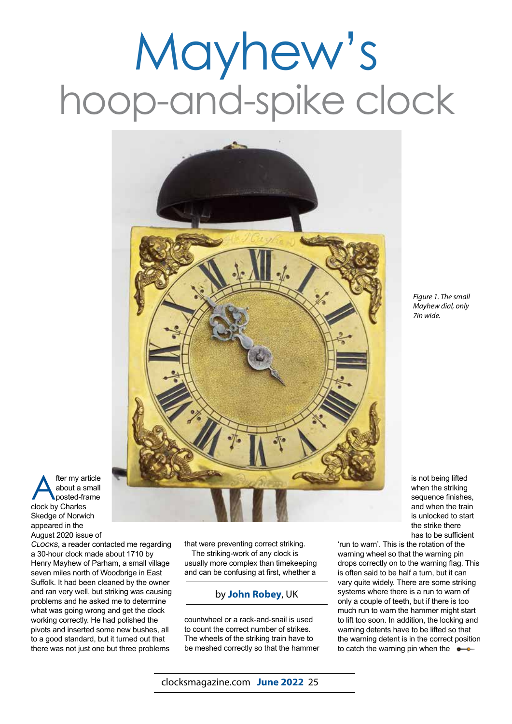## Mayhew's hoop-and-spike clock



*Figure 1. The small Mayhew dial, only 7in wide.*

is not being lifted when the striking sequence finishes, and when the train is unlocked to start the strike there has to be sufficient

**A** fter my article<br>about a small<br>clock by Charles about a small posted-frame clock by Charles Skedge of Norwich appeared in the August 2020 issue of

*Clocks*, a reader contacted me regarding a 30-hour clock made about 1710 by Henry Mayhew of Parham, a small village seven miles north of Woodbrige in East Suffolk. It had been cleaned by the owner and ran very well, but striking was causing problems and he asked me to determine what was going wrong and get the clock working correctly. He had polished the pivots and inserted some new bushes, all to a good standard, but it turned out that there was not just one but three problems

that were preventing correct striking. The striking-work of any clock is usually more complex than timekeeping and can be confusing at first, whether a

## by **John Robey**, UK

countwheel or a rack-and-snail is used to count the correct number of strikes. The wheels of the striking train have to be meshed correctly so that the hammer

'run to warn'. This is the rotation of the warning wheel so that the warning pin drops correctly on to the warning flag. This is often said to be half a turn, but it can vary quite widely. There are some striking systems where there is a run to warn of only a couple of teeth, but if there is too much run to warn the hammer might start to lift too soon. In addition, the locking and warning detents have to be lifted so that the warning detent is in the correct position to catch the warning pin when the  $\bullet$ 

clocksmagazine.com **June 2022** 25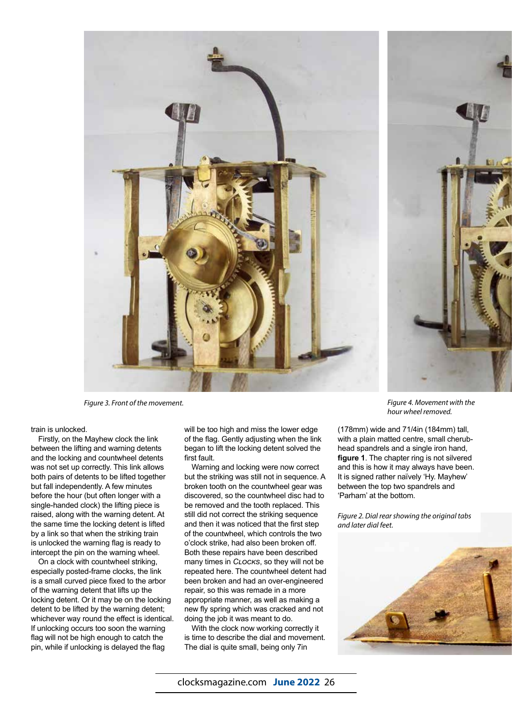

*Figure 3. Front of the movement. Figure 4. Movement with the* 

## train is unlocked.

Firstly, on the Mayhew clock the link between the lifting and warning detents and the locking and countwheel detents was not set up correctly. This link allows both pairs of detents to be lifted together but fall independently. A few minutes before the hour (but often longer with a single-handed clock) the lifting piece is raised, along with the warning detent. At the same time the locking detent is lifted by a link so that when the striking train is unlocked the warning flag is ready to intercept the pin on the warning wheel.

On a clock with countwheel striking, especially posted-frame clocks, the link is a small curved piece fixed to the arbor of the warning detent that lifts up the locking detent. Or it may be on the locking detent to be lifted by the warning detent; whichever way round the effect is identical. If unlocking occurs too soon the warning flag will not be high enough to catch the pin, while if unlocking is delayed the flag

will be too high and miss the lower edge of the flag. Gently adjusting when the link began to lift the locking detent solved the first fault.

Warning and locking were now correct but the striking was still not in sequence. A broken tooth on the countwheel gear was discovered, so the countwheel disc had to be removed and the tooth replaced. This still did not correct the striking sequence and then it was noticed that the first step of the countwheel, which controls the two o'clock strike, had also been broken off. Both these repairs have been described many times in *Clocks*, so they will not be repeated here. The countwheel detent had been broken and had an over-engineered repair, so this was remade in a more appropriate manner, as well as making a new fly spring which was cracked and not doing the job it was meant to do.

With the clock now working correctly it is time to describe the dial and movement. The dial is quite small, being only 7in

*hour wheel removed.*

(178mm) wide and 71/4in (184mm) tall, with a plain matted centre, small cherubhead spandrels and a single iron hand, **figure 1**. The chapter ring is not silvered and this is how it may always have been. It is signed rather naïvely 'Hy. Mayhew' between the top two spandrels and 'Parham' at the bottom.

*Figure 2. Dial rear showing the original tabs and later dial feet.*

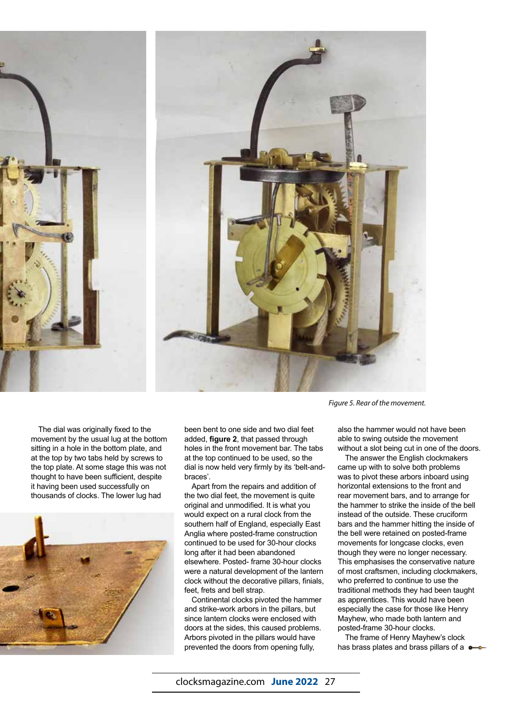



*Figure 5. Rear of the movement.*

The dial was originally fixed to the movement by the usual lug at the bottom sitting in a hole in the bottom plate, and at the top by two tabs held by screws to the top plate. At some stage this was not thought to have been sufficient, despite it having been used successfully on thousands of clocks. The lower lug had



been bent to one side and two dial feet added, **figure 2**, that passed through holes in the front movement bar. The tabs at the top continued to be used, so the dial is now held very firmly by its 'belt-andbraces'.

Apart from the repairs and addition of the two dial feet, the movement is quite original and unmodified. It is what you would expect on a rural clock from the southern half of England, especially East Anglia where posted-frame construction continued to be used for 30-hour clocks long after it had been abandoned elsewhere. Posted- frame 30-hour clocks were a natural development of the lantern clock without the decorative pillars, finials, feet, frets and bell strap.

Continental clocks pivoted the hammer and strike-work arbors in the pillars, but since lantern clocks were enclosed with doors at the sides, this caused problems. Arbors pivoted in the pillars would have prevented the doors from opening fully,

also the hammer would not have been able to swing outside the movement without a slot being cut in one of the doors.

The answer the English clockmakers came up with to solve both problems was to pivot these arbors inboard using horizontal extensions to the front and rear movement bars, and to arrange for the hammer to strike the inside of the bell instead of the outside. These cruciform bars and the hammer hitting the inside of the bell were retained on posted-frame movements for longcase clocks, even though they were no longer necessary. This emphasises the conservative nature of most craftsmen, including clockmakers, who preferred to continue to use the traditional methods they had been taught as apprentices. This would have been especially the case for those like Henry Mayhew, who made both lantern and posted-frame 30-hour clocks.

The frame of Henry Mayhew's clock has brass plates and brass pillars of a  $\bullet$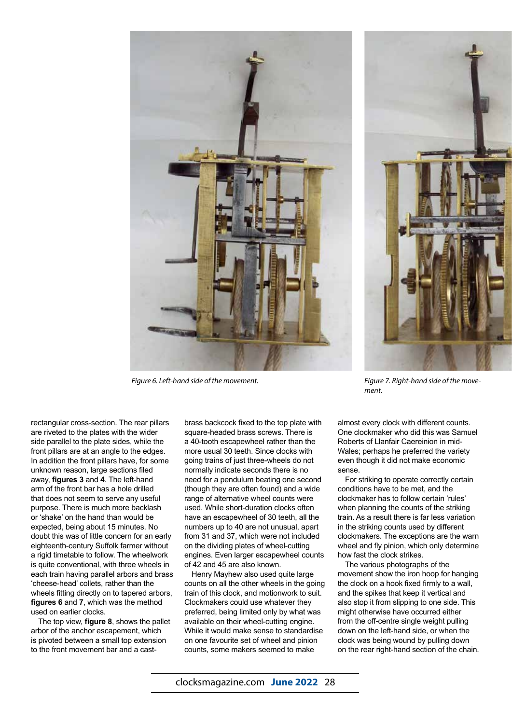

*Figure 6. Left-hand side of the movement. Figure 7. Right-hand side of the move-*



*ment.*

rectangular cross-section. The rear pillars are riveted to the plates with the wider side parallel to the plate sides, while the front pillars are at an angle to the edges. In addition the front pillars have, for some unknown reason, large sections filed away, **figures 3** and **4**. The left-hand arm of the front bar has a hole drilled that does not seem to serve any useful purpose. There is much more backlash or 'shake' on the hand than would be expected, being about 15 minutes. No doubt this was of little concern for an early eighteenth-century Suffolk farmer without a rigid timetable to follow. The wheelwork is quite conventional, with three wheels in each train having parallel arbors and brass 'cheese-head' collets, rather than the wheels fitting directly on to tapered arbors, **figures 6** and **7**, which was the method used on earlier clocks.

The top view, **figure 8**, shows the pallet arbor of the anchor escapement, which is pivoted between a small top extension to the front movement bar and a castbrass backcock fixed to the top plate with square-headed brass screws. There is a 40-tooth escapewheel rather than the more usual 30 teeth. Since clocks with going trains of just three-wheels do not normally indicate seconds there is no need for a pendulum beating one second (though they are often found) and a wide range of alternative wheel counts were used. While short-duration clocks often have an escapewheel of 30 teeth, all the numbers up to 40 are not unusual, apart from 31 and 37, which were not included on the dividing plates of wheel-cutting engines. Even larger escapewheel counts of 42 and 45 are also known.

Henry Mayhew also used quite large counts on all the other wheels in the going train of this clock, and motionwork to suit. Clockmakers could use whatever they preferred, being limited only by what was available on their wheel-cutting engine. While it would make sense to standardise on one favourite set of wheel and pinion counts, some makers seemed to make

almost every clock with different counts. One clockmaker who did this was Samuel Roberts of Llanfair Caereinion in mid-Wales; perhaps he preferred the variety even though it did not make economic sense.

For striking to operate correctly certain conditions have to be met, and the clockmaker has to follow certain 'rules' when planning the counts of the striking train. As a result there is far less variation in the striking counts used by different clockmakers. The exceptions are the warn wheel and fly pinion, which only determine how fast the clock strikes.

The various photographs of the movement show the iron hoop for hanging the clock on a hook fixed firmly to a wall, and the spikes that keep it vertical and also stop it from slipping to one side. This might otherwise have occurred either from the off-centre single weight pulling down on the left-hand side, or when the clock was being wound by pulling down on the rear right-hand section of the chain.